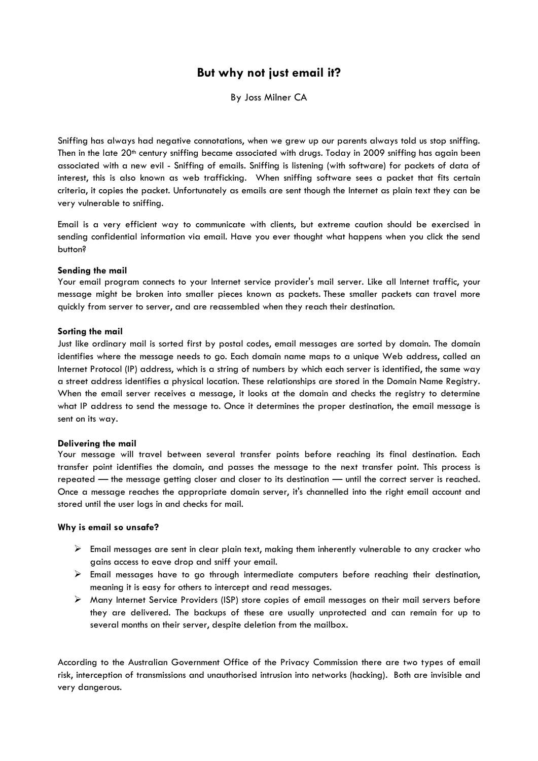# **But why not just email it?**

By Joss Milner CA

Sniffing has always had negative connotations, when we grew up our parents always told us stop sniffing. Then in the late 20<sup>th</sup> century sniffing became associated with drugs. Today in 2009 sniffing has again been associated with a new evil - Sniffing of emails. Sniffing is listening (with software) for packets of data of interest, this is also known as web trafficking. When sniffing software sees a packet that fits certain criteria, it copies the packet. Unfortunately as emails are sent though the Internet as plain text they can be very vulnerable to sniffing.

Email is a very efficient way to communicate with clients, but extreme caution should be exercised in sending confidential information via email. Have you ever thought what happens when you click the send button?

### **Sending the mail**

Your email program connects to your Internet service provider's mail server. Like all Internet traffic, your message might be broken into smaller pieces known as packets. These smaller packets can travel more quickly from server to server, and are reassembled when they reach their destination.

## **Sorting the mail**

Just like ordinary mail is sorted first by postal codes, email messages are sorted by domain. The domain identifies where the message needs to go. Each domain name maps to a unique Web address, called an Internet Protocol (IP) address, which is a string of numbers by which each server is identified, the same way a street address identifies a physical location. These relationships are stored in the Domain Name Registry. When the email server receives a message, it looks at the domain and checks the registry to determine what IP address to send the message to. Once it determines the proper destination, the email message is sent on its way.

### **Delivering the mail**

Your message will travel between several transfer points before reaching its final destination. Each transfer point identifies the domain, and passes the message to the next transfer point. This process is repeated — the message getting closer and closer to its destination — until the correct server is reached. Once a message reaches the appropriate domain server, it's channelled into the right email account and stored until the user logs in and checks for mail.

### **Why is email so unsafe?**

- $\triangleright$  Email messages are sent in clear plain text, making them inherently vulnerable to any cracker who gains access to eave drop and sniff your email.
- $\triangleright$  Email messages have to go through intermediate computers before reaching their destination, meaning it is easy for others to intercept and read messages.
- Many Internet Service Providers (ISP) store copies of email messages on their mail servers before they are delivered. The backups of these are usually unprotected and can remain for up to several months on their server, despite deletion from the mailbox.

According to the Australian Government Office of the Privacy Commission there are two types of email risk, interception of transmissions and unauthorised intrusion into networks (hacking). Both are invisible and very dangerous.